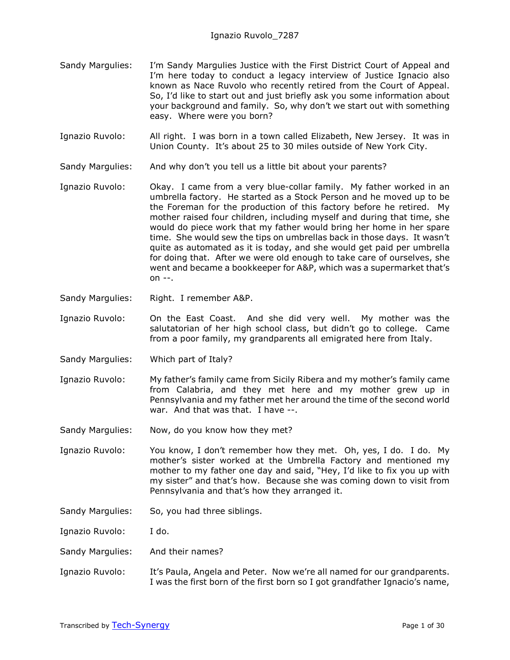- Sandy Margulies: I'm Sandy Margulies Justice with the First District Court of Appeal and I'm here today to conduct a legacy interview of Justice Ignacio also known as Nace Ruvolo who recently retired from the Court of Appeal. So, I'd like to start out and just briefly ask you some information about your background and family. So, why don't we start out with something easy. Where were you born?
- Ignazio Ruvolo: All right. I was born in a town called Elizabeth, New Jersey. It was in Union County. It's about 25 to 30 miles outside of New York City.
- Sandy Margulies: And why don't you tell us a little bit about your parents?
- Ignazio Ruvolo: Okay. I came from a very blue-collar family. My father worked in an umbrella factory. He started as a Stock Person and he moved up to be the Foreman for the production of this factory before he retired. My mother raised four children, including myself and during that time, she would do piece work that my father would bring her home in her spare time. She would sew the tips on umbrellas back in those days. It wasn't quite as automated as it is today, and she would get paid per umbrella for doing that. After we were old enough to take care of ourselves, she went and became a bookkeeper for A&P, which was a supermarket that's on --.
- Sandy Margulies: Right. I remember A&P.
- Ignazio Ruvolo: On the East Coast. And she did very well. My mother was the salutatorian of her high school class, but didn't go to college. Came from a poor family, my grandparents all emigrated here from Italy.
- Sandy Margulies: Which part of Italy?
- Ignazio Ruvolo: My father's family came from Sicily Ribera and my mother's family came from Calabria, and they met here and my mother grew up in Pennsylvania and my father met her around the time of the second world war. And that was that. I have --.
- Sandy Margulies: Now, do you know how they met?
- Ignazio Ruvolo: You know, I don't remember how they met. Oh, yes, I do. I do. My mother's sister worked at the Umbrella Factory and mentioned my mother to my father one day and said, "Hey, I'd like to fix you up with my sister" and that's how. Because she was coming down to visit from Pennsylvania and that's how they arranged it.
- Sandy Margulies: So, you had three siblings.
- Ignazio Ruvolo: I do.
- Sandy Margulies: And their names?
- Ignazio Ruvolo: It's Paula, Angela and Peter. Now we're all named for our grandparents. I was the first born of the first born so I got grandfather Ignacio's name,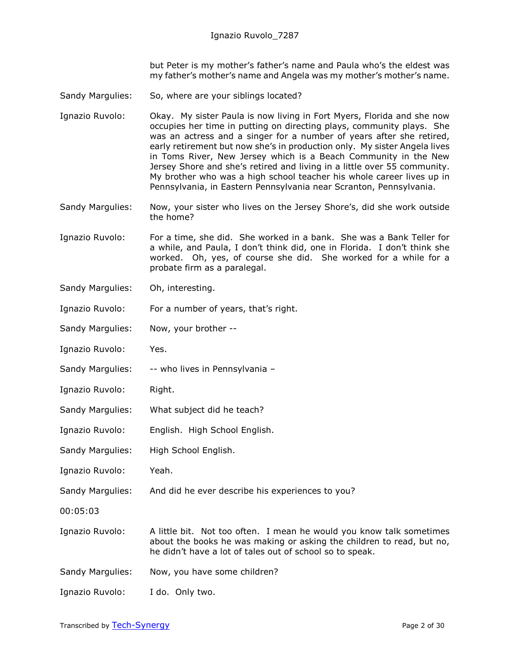but Peter is my mother's father's name and Paula who's the eldest was my father's mother's name and Angela was my mother's mother's name.

- Sandy Margulies: So, where are your siblings located?
- Ignazio Ruvolo: Okay. My sister Paula is now living in Fort Myers, Florida and she now occupies her time in putting on directing plays, community plays. She was an actress and a singer for a number of years after she retired, early retirement but now she's in production only. My sister Angela lives in Toms River, New Jersey which is a Beach Community in the New Jersey Shore and she's retired and living in a little over 55 community. My brother who was a high school teacher his whole career lives up in Pennsylvania, in Eastern Pennsylvania near Scranton, Pennsylvania.
- Sandy Margulies: Now, your sister who lives on the Jersey Shore's, did she work outside the home?
- Ignazio Ruvolo: For a time, she did. She worked in a bank. She was a Bank Teller for a while, and Paula, I don't think did, one in Florida. I don't think she worked. Oh, yes, of course she did. She worked for a while for a probate firm as a paralegal.
- Sandy Margulies: Oh, interesting.
- Ignazio Ruvolo: For a number of years, that's right.
- Sandy Margulies: Now, your brother --
- Ignazio Ruvolo: Yes.
- Sandy Margulies: -- who lives in Pennsylvania -
- Ignazio Ruvolo: Right.
- Sandy Margulies: What subject did he teach?
- Ignazio Ruvolo: English. High School English.
- Sandy Margulies: High School English.
- Ignazio Ruvolo: Yeah.
- Sandy Margulies: And did he ever describe his experiences to you?

00:05:03

Ignazio Ruvolo: A little bit. Not too often. I mean he would you know talk sometimes about the books he was making or asking the children to read, but no, he didn't have a lot of tales out of school so to speak.

- Sandy Margulies: Now, you have some children?
- Ignazio Ruvolo: I do. Only two.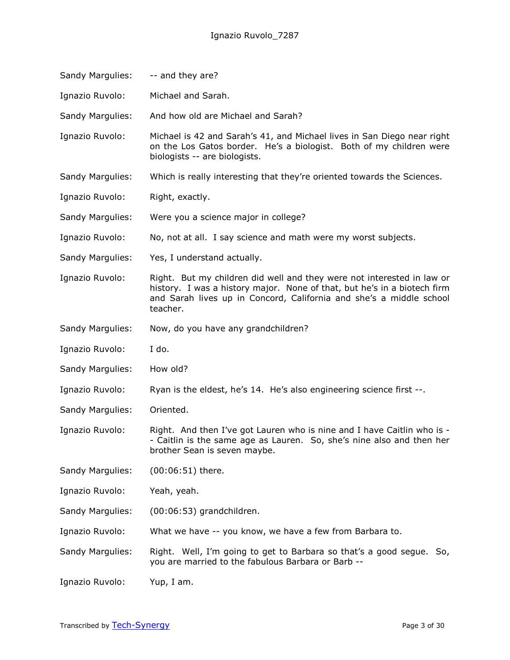| <b>Sandy Margulies:</b> | -- and they are?                                                                                                                                                                                                                      |
|-------------------------|---------------------------------------------------------------------------------------------------------------------------------------------------------------------------------------------------------------------------------------|
| Ignazio Ruvolo:         | Michael and Sarah.                                                                                                                                                                                                                    |
| Sandy Margulies:        | And how old are Michael and Sarah?                                                                                                                                                                                                    |
| Ignazio Ruvolo:         | Michael is 42 and Sarah's 41, and Michael lives in San Diego near right<br>on the Los Gatos border. He's a biologist. Both of my children were<br>biologists -- are biologists.                                                       |
| <b>Sandy Margulies:</b> | Which is really interesting that they're oriented towards the Sciences.                                                                                                                                                               |
| Ignazio Ruvolo:         | Right, exactly.                                                                                                                                                                                                                       |
| Sandy Margulies:        | Were you a science major in college?                                                                                                                                                                                                  |
| Ignazio Ruvolo:         | No, not at all. I say science and math were my worst subjects.                                                                                                                                                                        |
| Sandy Margulies:        | Yes, I understand actually.                                                                                                                                                                                                           |
| Ignazio Ruvolo:         | Right. But my children did well and they were not interested in law or<br>history. I was a history major. None of that, but he's in a biotech firm<br>and Sarah lives up in Concord, California and she's a middle school<br>teacher. |
| Sandy Margulies:        | Now, do you have any grandchildren?                                                                                                                                                                                                   |
| Ignazio Ruvolo:         | I do.                                                                                                                                                                                                                                 |
| Sandy Margulies:        | How old?                                                                                                                                                                                                                              |
| Ignazio Ruvolo:         | Ryan is the eldest, he's 14. He's also engineering science first --.                                                                                                                                                                  |
| Sandy Margulies:        | Oriented.                                                                                                                                                                                                                             |
| Ignazio Ruvolo:         | Right. And then I've got Lauren who is nine and I have Caitlin who is -<br>- Caitlin is the same age as Lauren. So, she's nine also and then her<br>brother Sean is seven maybe.                                                      |
| Sandy Margulies:        | $(00:06:51)$ there.                                                                                                                                                                                                                   |
| Ignazio Ruvolo:         | Yeah, yeah.                                                                                                                                                                                                                           |
| Sandy Margulies:        | (00:06:53) grandchildren.                                                                                                                                                                                                             |
| Ignazio Ruvolo:         | What we have -- you know, we have a few from Barbara to.                                                                                                                                                                              |
| Sandy Margulies:        | Right. Well, I'm going to get to Barbara so that's a good segue. So,<br>you are married to the fabulous Barbara or Barb --                                                                                                            |
| Ignazio Ruvolo:         | Yup, I am.                                                                                                                                                                                                                            |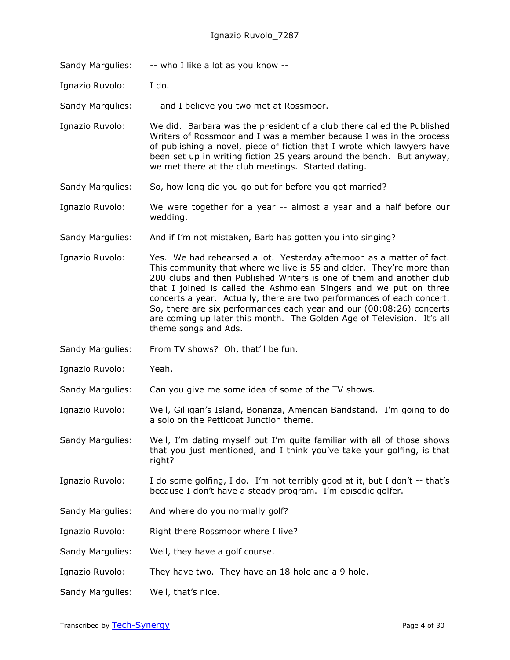Sandy Margulies: -- who I like a lot as you know --

Ignazio Ruvolo: I do.

Sandy Margulies: -- and I believe you two met at Rossmoor.

Ignazio Ruvolo: We did. Barbara was the president of a club there called the Published Writers of Rossmoor and I was a member because I was in the process of publishing a novel, piece of fiction that I wrote which lawyers have been set up in writing fiction 25 years around the bench. But anyway, we met there at the club meetings. Started dating.

Sandy Margulies: So, how long did you go out for before you got married?

Ignazio Ruvolo: We were together for a year -- almost a year and a half before our wedding.

- Sandy Margulies: And if I'm not mistaken, Barb has gotten you into singing?
- Ignazio Ruvolo: Yes. We had rehearsed a lot. Yesterday afternoon as a matter of fact. This community that where we live is 55 and older. They're more than 200 clubs and then Published Writers is one of them and another club that I joined is called the Ashmolean Singers and we put on three concerts a year. Actually, there are two performances of each concert. So, there are six performances each year and our (00:08:26) concerts are coming up later this month. The Golden Age of Television. It's all theme songs and Ads.
- Sandy Margulies: From TV shows? Oh, that'll be fun.
- Ignazio Ruvolo: Yeah.

Sandy Margulies: Can you give me some idea of some of the TV shows.

Ignazio Ruvolo: Well, Gilligan's Island, Bonanza, American Bandstand. I'm going to do a solo on the Petticoat Junction theme.

Sandy Margulies: Well, I'm dating myself but I'm quite familiar with all of those shows that you just mentioned, and I think you've take your golfing, is that right?

- Ignazio Ruvolo: I do some golfing, I do. I'm not terribly good at it, but I don't -- that's because I don't have a steady program. I'm episodic golfer.
- Sandy Margulies: And where do you normally golf?
- Ignazio Ruvolo: Right there Rossmoor where I live?
- Sandy Margulies: Well, they have a golf course.
- Ignazio Ruvolo: They have two. They have an 18 hole and a 9 hole.

Sandy Margulies: Well, that's nice.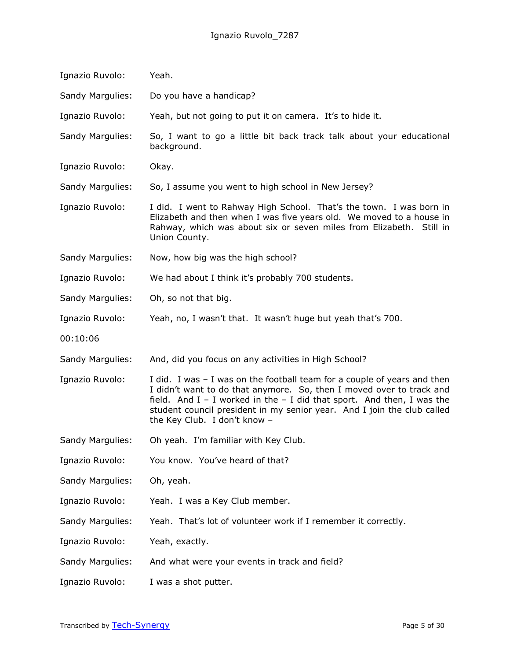| Ignazio Ruvolo:  | Yeah.                                                                                                                                                                                                                                                                                                                                     |
|------------------|-------------------------------------------------------------------------------------------------------------------------------------------------------------------------------------------------------------------------------------------------------------------------------------------------------------------------------------------|
| Sandy Margulies: | Do you have a handicap?                                                                                                                                                                                                                                                                                                                   |
| Ignazio Ruvolo:  | Yeah, but not going to put it on camera. It's to hide it.                                                                                                                                                                                                                                                                                 |
| Sandy Margulies: | So, I want to go a little bit back track talk about your educational<br>background.                                                                                                                                                                                                                                                       |
| Ignazio Ruvolo:  | Okay.                                                                                                                                                                                                                                                                                                                                     |
| Sandy Margulies: | So, I assume you went to high school in New Jersey?                                                                                                                                                                                                                                                                                       |
| Ignazio Ruvolo:  | I did. I went to Rahway High School. That's the town. I was born in<br>Elizabeth and then when I was five years old. We moved to a house in<br>Rahway, which was about six or seven miles from Elizabeth. Still in<br>Union County.                                                                                                       |
| Sandy Margulies: | Now, how big was the high school?                                                                                                                                                                                                                                                                                                         |
| Ignazio Ruvolo:  | We had about I think it's probably 700 students.                                                                                                                                                                                                                                                                                          |
| Sandy Margulies: | Oh, so not that big.                                                                                                                                                                                                                                                                                                                      |
| Ignazio Ruvolo:  | Yeah, no, I wasn't that. It wasn't huge but yeah that's 700.                                                                                                                                                                                                                                                                              |
| 00:10:06         |                                                                                                                                                                                                                                                                                                                                           |
| Sandy Margulies: | And, did you focus on any activities in High School?                                                                                                                                                                                                                                                                                      |
| Ignazio Ruvolo:  | I did. I was - I was on the football team for a couple of years and then<br>I didn't want to do that anymore. So, then I moved over to track and<br>field. And $I - I$ worked in the $- I$ did that sport. And then, I was the<br>student council president in my senior year. And I join the club called<br>the Key Club. I don't know - |
| Sandy Margulies: | Oh yeah. I'm familiar with Key Club.                                                                                                                                                                                                                                                                                                      |
| Ignazio Ruvolo:  | You know. You've heard of that?                                                                                                                                                                                                                                                                                                           |
| Sandy Margulies: | Oh, yeah.                                                                                                                                                                                                                                                                                                                                 |
| Ignazio Ruvolo:  | Yeah. I was a Key Club member.                                                                                                                                                                                                                                                                                                            |
| Sandy Margulies: | Yeah. That's lot of volunteer work if I remember it correctly.                                                                                                                                                                                                                                                                            |
| Ignazio Ruvolo:  | Yeah, exactly.                                                                                                                                                                                                                                                                                                                            |
| Sandy Margulies: | And what were your events in track and field?                                                                                                                                                                                                                                                                                             |
| Ignazio Ruvolo:  | I was a shot putter.                                                                                                                                                                                                                                                                                                                      |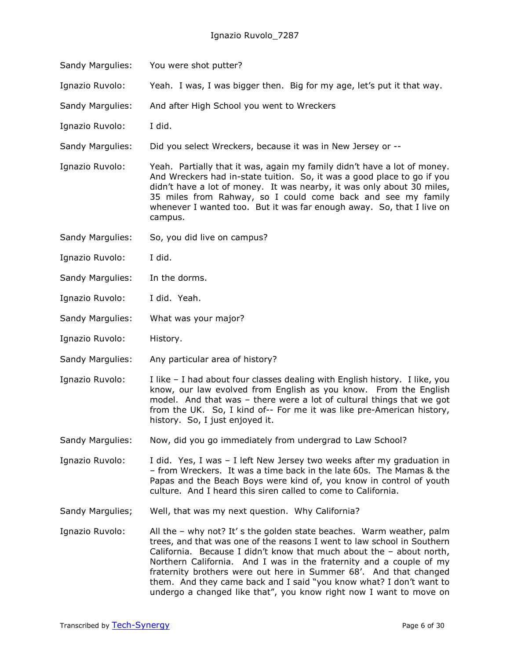Sandy Margulies: You were shot putter? Ignazio Ruvolo: Yeah. I was, I was bigger then. Big for my age, let's put it that way. Sandy Margulies: And after High School you went to Wreckers Ignazio Ruvolo: I did. Sandy Margulies: Did you select Wreckers, because it was in New Jersey or --Ignazio Ruvolo: Yeah. Partially that it was, again my family didn't have a lot of money. And Wreckers had in-state tuition. So, it was a good place to go if you didn't have a lot of money. It was nearby, it was only about 30 miles, 35 miles from Rahway, so I could come back and see my family whenever I wanted too. But it was far enough away. So, that I live on campus. Sandy Margulies: So, you did live on campus? Ignazio Ruvolo: I did. Sandy Margulies: In the dorms. Ignazio Ruvolo: I did. Yeah. Sandy Margulies: What was your major? Ignazio Ruvolo: History. Sandy Margulies: Any particular area of history? Ignazio Ruvolo: I like – I had about four classes dealing with English history. I like, you know, our law evolved from English as you know. From the English model. And that was – there were a lot of cultural things that we got from the UK. So, I kind of-- For me it was like pre-American history, history. So, I just enjoyed it. Sandy Margulies: Now, did you go immediately from undergrad to Law School? Ignazio Ruvolo: I did. Yes, I was – I left New Jersey two weeks after my graduation in – from Wreckers. It was a time back in the late 60s. The Mamas & the Papas and the Beach Boys were kind of, you know in control of youth culture. And I heard this siren called to come to California. Sandy Margulies; Well, that was my next question. Why California? Ignazio Ruvolo: All the – why not? It' s the golden state beaches. Warm weather, palm trees, and that was one of the reasons I went to law school in Southern California. Because I didn't know that much about the – about north, Northern California. And I was in the fraternity and a couple of my fraternity brothers were out here in Summer 68'. And that changed them. And they came back and I said "you know what? I don't want to undergo a changed like that", you know right now I want to move on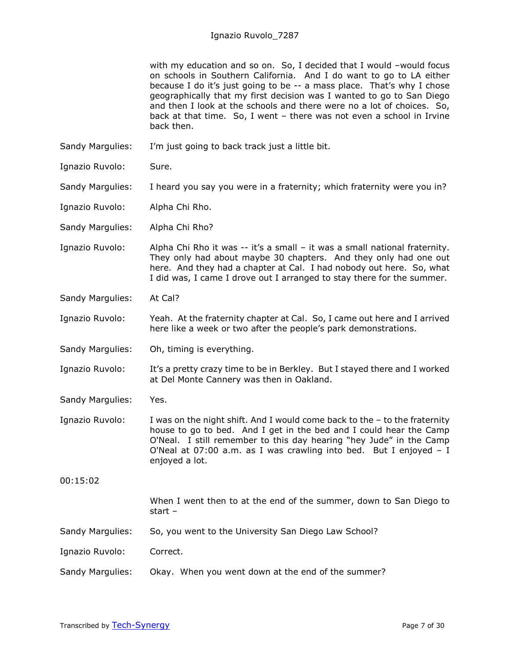with my education and so on. So, I decided that I would –would focus on schools in Southern California. And I do want to go to LA either because I do it's just going to be -- a mass place. That's why I chose geographically that my first decision was I wanted to go to San Diego and then I look at the schools and there were no a lot of choices. So, back at that time. So, I went – there was not even a school in Irvine back then.

Sandy Margulies: I'm just going to back track just a little bit.

Ignazio Ruvolo: Sure.

Sandy Margulies: I heard you say you were in a fraternity; which fraternity were you in?

Ignazio Ruvolo: Alpha Chi Rho.

Sandy Margulies: Alpha Chi Rho?

Ignazio Ruvolo: Alpha Chi Rho it was -- it's a small – it was a small national fraternity. They only had about maybe 30 chapters. And they only had one out here. And they had a chapter at Cal. I had nobody out here. So, what I did was, I came I drove out I arranged to stay there for the summer.

Sandy Margulies: At Cal?

Ignazio Ruvolo: Yeah. At the fraternity chapter at Cal. So, I came out here and I arrived here like a week or two after the people's park demonstrations.

Sandy Margulies: Oh, timing is everything.

Ignazio Ruvolo: It's a pretty crazy time to be in Berkley. But I stayed there and I worked at Del Monte Cannery was then in Oakland.

Sandy Margulies: Yes.

Ignazio Ruvolo: I was on the night shift. And I would come back to the – to the fraternity house to go to bed. And I get in the bed and I could hear the Camp O'Neal. I still remember to this day hearing "hey Jude" in the Camp O'Neal at 07:00 a.m. as I was crawling into bed. But I enjoyed – I enjoyed a lot.

00:15:02

When I went then to at the end of the summer, down to San Diego to start –

Sandy Margulies: So, you went to the University San Diego Law School?

Ignazio Ruvolo: Correct.

Sandy Margulies: Okay. When you went down at the end of the summer?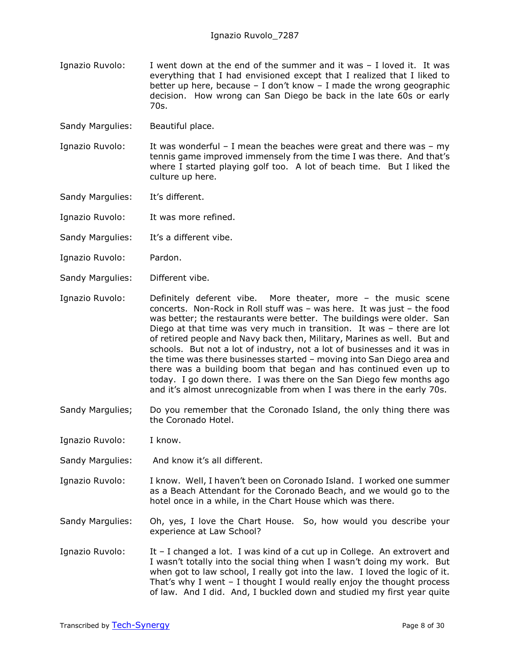- Ignazio Ruvolo: I went down at the end of the summer and it was I loved it. It was everything that I had envisioned except that I realized that I liked to better up here, because  $-1$  don't know  $-1$  made the wrong geographic decision. How wrong can San Diego be back in the late 60s or early 70s.
- Sandy Margulies: Beautiful place.
- Ignazio Ruvolo: It was wonderful I mean the beaches were great and there was my tennis game improved immensely from the time I was there. And that's where I started playing golf too. A lot of beach time. But I liked the culture up here.
- Sandy Margulies: It's different.
- Ignazio Ruvolo: It was more refined.
- Sandy Margulies: It's a different vibe.
- Ignazio Ruvolo: Pardon.
- Sandy Margulies: Different vibe.

Ignazio Ruvolo: Definitely deferent vibe. More theater, more – the music scene concerts. Non-Rock in Roll stuff was – was here. It was just – the food was better; the restaurants were better. The buildings were older. San Diego at that time was very much in transition. It was – there are lot of retired people and Navy back then, Military, Marines as well. But and schools. But not a lot of industry, not a lot of businesses and it was in the time was there businesses started – moving into San Diego area and there was a building boom that began and has continued even up to today. I go down there. I was there on the San Diego few months ago and it's almost unrecognizable from when I was there in the early 70s.

Sandy Margulies; Do you remember that the Coronado Island, the only thing there was the Coronado Hotel.

Ignazio Ruvolo: I know.

- Sandy Margulies: And know it's all different.
- Ignazio Ruvolo: I know. Well, I haven't been on Coronado Island. I worked one summer as a Beach Attendant for the Coronado Beach, and we would go to the hotel once in a while, in the Chart House which was there.
- Sandy Margulies: Oh, yes, I love the Chart House. So, how would you describe your experience at Law School?
- Ignazio Ruvolo: It I changed a lot. I was kind of a cut up in College. An extrovert and I wasn't totally into the social thing when I wasn't doing my work. But when got to law school, I really got into the law. I loved the logic of it. That's why I went – I thought I would really enjoy the thought process of law. And I did. And, I buckled down and studied my first year quite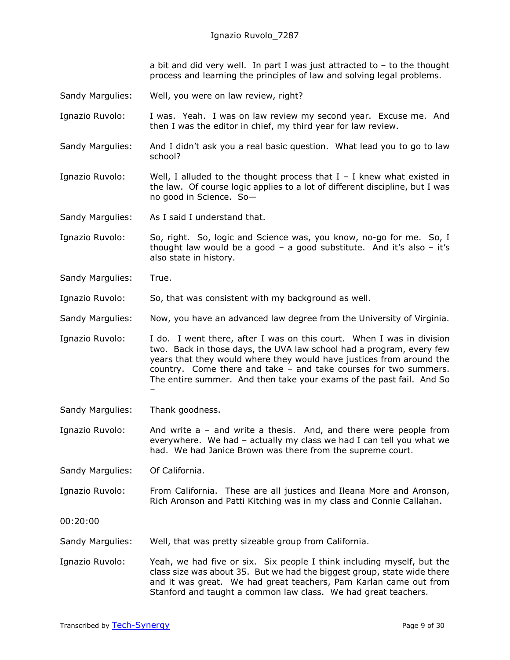a bit and did very well. In part I was just attracted to  $-$  to the thought process and learning the principles of law and solving legal problems.

- Sandy Margulies: Well, you were on law review, right?
- Ignazio Ruvolo: I was. Yeah. I was on law review my second year. Excuse me. And then I was the editor in chief, my third year for law review.
- Sandy Margulies: And I didn't ask you a real basic question. What lead you to go to law school?
- Ignazio Ruvolo: Well, I alluded to the thought process that  $I I$  knew what existed in the law. Of course logic applies to a lot of different discipline, but I was no good in Science. So—
- Sandy Margulies: As I said I understand that.
- Ignazio Ruvolo: So, right. So, logic and Science was, you know, no-go for me. So, I thought law would be a good  $-$  a good substitute. And it's also  $-$  it's also state in history.
- Sandy Margulies: True.
- Ignazio Ruvolo: So, that was consistent with my background as well.
- Sandy Margulies: Now, you have an advanced law degree from the University of Virginia.
- Ignazio Ruvolo: I do. I went there, after I was on this court. When I was in division two. Back in those days, the UVA law school had a program, every few years that they would where they would have justices from around the country. Come there and take – and take courses for two summers. The entire summer. And then take your exams of the past fail. And So –
- Sandy Margulies: Thank goodness.
- Ignazio Ruvolo: And write a and write a thesis. And, and there were people from everywhere. We had – actually my class we had I can tell you what we had. We had Janice Brown was there from the supreme court.
- Sandy Margulies: Of California.
- Ignazio Ruvolo: From California. These are all justices and Ileana More and Aronson, Rich Aronson and Patti Kitching was in my class and Connie Callahan.
- 00:20:00
- Sandy Margulies: Well, that was pretty sizeable group from California.
- Ignazio Ruvolo: Yeah, we had five or six. Six people I think including myself, but the class size was about 35. But we had the biggest group, state wide there and it was great. We had great teachers, Pam Karlan came out from Stanford and taught a common law class. We had great teachers.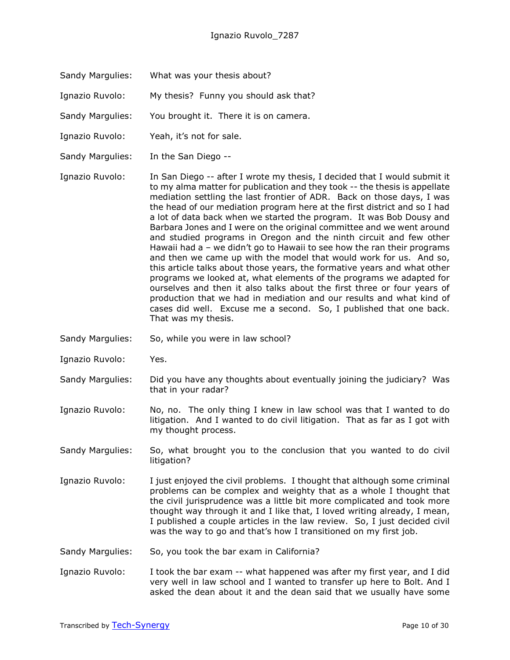- Sandy Margulies: What was your thesis about?
- Ignazio Ruvolo: My thesis? Funny you should ask that?
- Sandy Margulies: You brought it. There it is on camera.
- Ignazio Ruvolo: Yeah, it's not for sale.
- Sandy Margulies: In the San Diego --

Ignazio Ruvolo: In San Diego -- after I wrote my thesis, I decided that I would submit it to my alma matter for publication and they took -- the thesis is appellate mediation settling the last frontier of ADR. Back on those days, I was the head of our mediation program here at the first district and so I had a lot of data back when we started the program. It was Bob Dousy and Barbara Jones and I were on the original committee and we went around and studied programs in Oregon and the ninth circuit and few other Hawaii had a – we didn't go to Hawaii to see how the ran their programs and then we came up with the model that would work for us. And so, this article talks about those years, the formative years and what other programs we looked at, what elements of the programs we adapted for ourselves and then it also talks about the first three or four years of production that we had in mediation and our results and what kind of cases did well. Excuse me a second. So, I published that one back. That was my thesis.

- Sandy Margulies: So, while you were in law school?
- Ignazio Ruvolo: Yes.
- Sandy Margulies: Did you have any thoughts about eventually joining the judiciary? Was that in your radar?
- Ignazio Ruvolo: No, no. The only thing I knew in law school was that I wanted to do litigation. And I wanted to do civil litigation. That as far as I got with my thought process.
- Sandy Margulies: So, what brought you to the conclusion that you wanted to do civil litigation?
- Ignazio Ruvolo: I just enjoyed the civil problems. I thought that although some criminal problems can be complex and weighty that as a whole I thought that the civil jurisprudence was a little bit more complicated and took more thought way through it and I like that, I loved writing already, I mean, I published a couple articles in the law review. So, I just decided civil was the way to go and that's how I transitioned on my first job.
- Sandy Margulies: So, you took the bar exam in California?
- Ignazio Ruvolo: I took the bar exam -- what happened was after my first year, and I did very well in law school and I wanted to transfer up here to Bolt. And I asked the dean about it and the dean said that we usually have some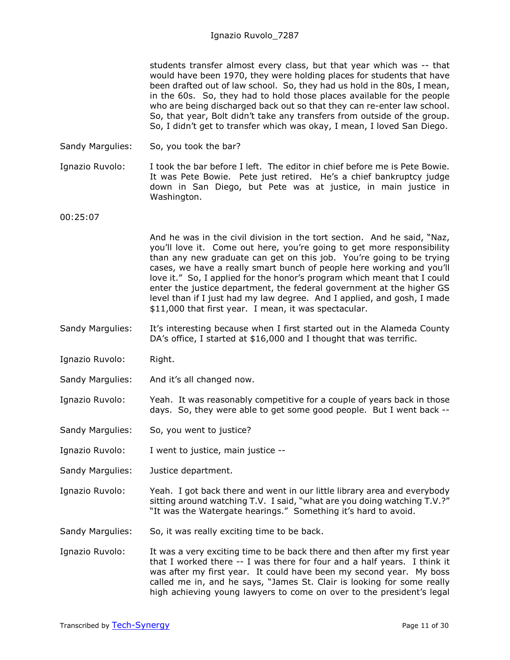students transfer almost every class, but that year which was -- that would have been 1970, they were holding places for students that have been drafted out of law school. So, they had us hold in the 80s, I mean, in the 60s. So, they had to hold those places available for the people who are being discharged back out so that they can re-enter law school. So, that year, Bolt didn't take any transfers from outside of the group. So, I didn't get to transfer which was okay, I mean, I loved San Diego.

Sandy Margulies: So, you took the bar?

Ignazio Ruvolo: I took the bar before I left. The editor in chief before me is Pete Bowie. It was Pete Bowie. Pete just retired. He's a chief bankruptcy judge down in San Diego, but Pete was at justice, in main justice in Washington.

00:25:07

And he was in the civil division in the tort section. And he said, "Naz, you'll love it. Come out here, you're going to get more responsibility than any new graduate can get on this job. You're going to be trying cases, we have a really smart bunch of people here working and you'll love it." So, I applied for the honor's program which meant that I could enter the justice department, the federal government at the higher GS level than if I just had my law degree. And I applied, and gosh, I made \$11,000 that first year. I mean, it was spectacular.

Sandy Margulies: It's interesting because when I first started out in the Alameda County DA's office, I started at \$16,000 and I thought that was terrific.

Ignazio Ruvolo: Right.

Sandy Margulies: And it's all changed now.

Ignazio Ruvolo: Yeah. It was reasonably competitive for a couple of years back in those days. So, they were able to get some good people. But I went back --

Sandy Margulies: So, you went to justice?

Ignazio Ruvolo: I went to justice, main justice --

Sandy Margulies: Justice department.

Ignazio Ruvolo: Yeah. I got back there and went in our little library area and everybody sitting around watching T.V. I said, "what are you doing watching T.V.?" "It was the Watergate hearings." Something it's hard to avoid.

Sandy Margulies: So, it was really exciting time to be back.

Ignazio Ruvolo: It was a very exciting time to be back there and then after my first year that I worked there -- I was there for four and a half years. I think it was after my first year. It could have been my second year. My boss called me in, and he says, "James St. Clair is looking for some really high achieving young lawyers to come on over to the president's legal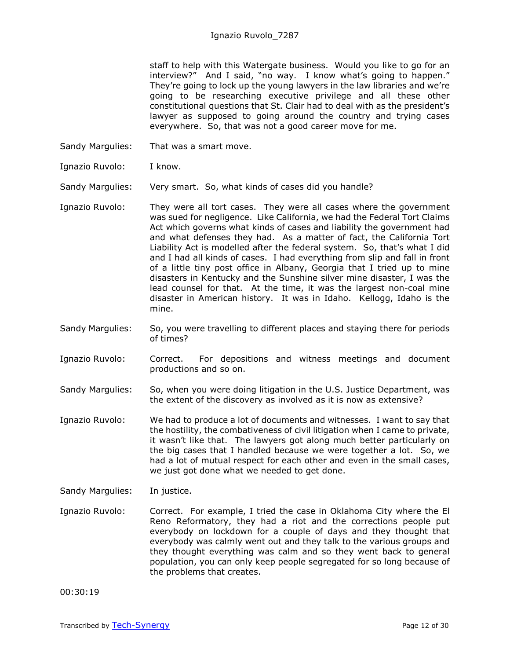staff to help with this Watergate business. Would you like to go for an interview?" And I said, "no way. I know what's going to happen." They're going to lock up the young lawyers in the law libraries and we're going to be researching executive privilege and all these other constitutional questions that St. Clair had to deal with as the president's lawyer as supposed to going around the country and trying cases everywhere. So, that was not a good career move for me.

- Sandy Margulies: That was a smart move.
- Ignazio Ruvolo: I know.

Sandy Margulies: Very smart. So, what kinds of cases did you handle?

- Ignazio Ruvolo: They were all tort cases. They were all cases where the government was sued for negligence. Like California, we had the Federal Tort Claims Act which governs what kinds of cases and liability the government had and what defenses they had. As a matter of fact, the California Tort Liability Act is modelled after the federal system. So, that's what I did and I had all kinds of cases. I had everything from slip and fall in front of a little tiny post office in Albany, Georgia that I tried up to mine disasters in Kentucky and the Sunshine silver mine disaster, I was the lead counsel for that. At the time, it was the largest non-coal mine disaster in American history. It was in Idaho. Kellogg, Idaho is the mine.
- Sandy Margulies: So, you were travelling to different places and staying there for periods of times?
- Ignazio Ruvolo: Correct. For depositions and witness meetings and document productions and so on.
- Sandy Margulies: So, when you were doing litigation in the U.S. Justice Department, was the extent of the discovery as involved as it is now as extensive?
- Ignazio Ruvolo: We had to produce a lot of documents and witnesses. I want to say that the hostility, the combativeness of civil litigation when I came to private, it wasn't like that. The lawyers got along much better particularly on the big cases that I handled because we were together a lot. So, we had a lot of mutual respect for each other and even in the small cases, we just got done what we needed to get done.
- Sandy Margulies: In justice.
- Ignazio Ruvolo: Correct. For example, I tried the case in Oklahoma City where the El Reno Reformatory, they had a riot and the corrections people put everybody on lockdown for a couple of days and they thought that everybody was calmly went out and they talk to the various groups and they thought everything was calm and so they went back to general population, you can only keep people segregated for so long because of the problems that creates.

00:30:19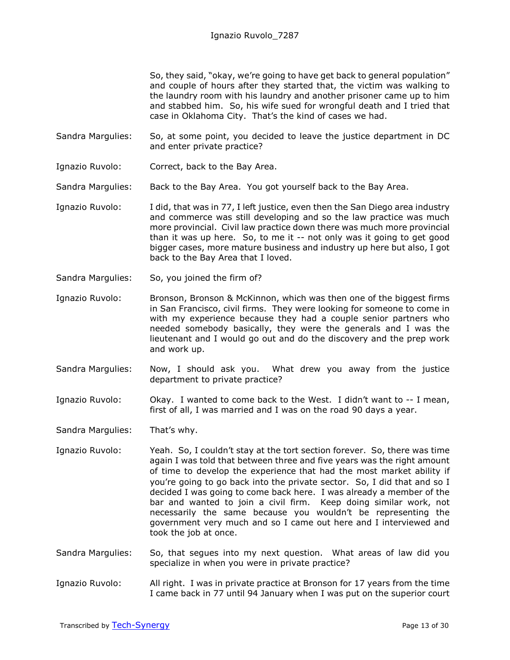So, they said, "okay, we're going to have get back to general population" and couple of hours after they started that, the victim was walking to the laundry room with his laundry and another prisoner came up to him and stabbed him. So, his wife sued for wrongful death and I tried that case in Oklahoma City. That's the kind of cases we had.

- Sandra Margulies: So, at some point, you decided to leave the justice department in DC and enter private practice?
- Ignazio Ruvolo: Correct, back to the Bay Area.
- Sandra Margulies: Back to the Bay Area. You got yourself back to the Bay Area.
- Ignazio Ruvolo: I did, that was in 77, I left justice, even then the San Diego area industry and commerce was still developing and so the law practice was much more provincial. Civil law practice down there was much more provincial than it was up here. So, to me it -- not only was it going to get good bigger cases, more mature business and industry up here but also, I got back to the Bay Area that I loved.
- Sandra Margulies: So, you joined the firm of?
- Ignazio Ruvolo: Bronson, Bronson & McKinnon, which was then one of the biggest firms in San Francisco, civil firms. They were looking for someone to come in with my experience because they had a couple senior partners who needed somebody basically, they were the generals and I was the lieutenant and I would go out and do the discovery and the prep work and work up.
- Sandra Margulies: Now, I should ask you. What drew you away from the justice department to private practice?

Ignazio Ruvolo: Okay. I wanted to come back to the West. I didn't want to -- I mean, first of all, I was married and I was on the road 90 days a year.

Sandra Margulies: That's why.

- Ignazio Ruvolo: Yeah. So, I couldn't stay at the tort section forever. So, there was time again I was told that between three and five years was the right amount of time to develop the experience that had the most market ability if you're going to go back into the private sector. So, I did that and so I decided I was going to come back here. I was already a member of the bar and wanted to join a civil firm. Keep doing similar work, not necessarily the same because you wouldn't be representing the government very much and so I came out here and I interviewed and took the job at once.
- Sandra Margulies: So, that segues into my next question. What areas of law did you specialize in when you were in private practice?
- Ignazio Ruvolo: All right. I was in private practice at Bronson for 17 years from the time I came back in 77 until 94 January when I was put on the superior court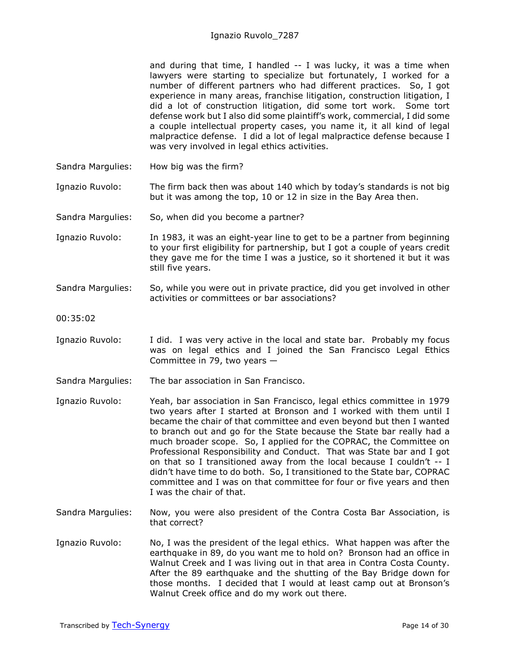and during that time, I handled  $-1$  was lucky, it was a time when lawyers were starting to specialize but fortunately, I worked for a number of different partners who had different practices. So, I got experience in many areas, franchise litigation, construction litigation, I did a lot of construction litigation, did some tort work. Some tort defense work but I also did some plaintiff's work, commercial, I did some a couple intellectual property cases, you name it, it all kind of legal malpractice defense. I did a lot of legal malpractice defense because I was very involved in legal ethics activities.

- Sandra Margulies: How big was the firm?
- Ignazio Ruvolo: The firm back then was about 140 which by today's standards is not big but it was among the top, 10 or 12 in size in the Bay Area then.
- Sandra Margulies: So, when did you become a partner?
- Ignazio Ruvolo: In 1983, it was an eight-year line to get to be a partner from beginning to your first eligibility for partnership, but I got a couple of years credit they gave me for the time I was a justice, so it shortened it but it was still five years.
- Sandra Margulies: So, while you were out in private practice, did you get involved in other activities or committees or bar associations?
- 00:35:02
- Ignazio Ruvolo: I did. I was very active in the local and state bar. Probably my focus was on legal ethics and I joined the San Francisco Legal Ethics Committee in 79, two years —
- Sandra Margulies: The bar association in San Francisco.
- Ignazio Ruvolo: Yeah, bar association in San Francisco, legal ethics committee in 1979 two years after I started at Bronson and I worked with them until I became the chair of that committee and even beyond but then I wanted to branch out and go for the State because the State bar really had a much broader scope. So, I applied for the COPRAC, the Committee on Professional Responsibility and Conduct. That was State bar and I got on that so I transitioned away from the local because I couldn't -- I didn't have time to do both. So, I transitioned to the State bar, COPRAC committee and I was on that committee for four or five years and then I was the chair of that.
- Sandra Margulies: Now, you were also president of the Contra Costa Bar Association, is that correct?
- Ignazio Ruvolo: No, I was the president of the legal ethics. What happen was after the earthquake in 89, do you want me to hold on? Bronson had an office in Walnut Creek and I was living out in that area in Contra Costa County. After the 89 earthquake and the shutting of the Bay Bridge down for those months. I decided that I would at least camp out at Bronson's Walnut Creek office and do my work out there.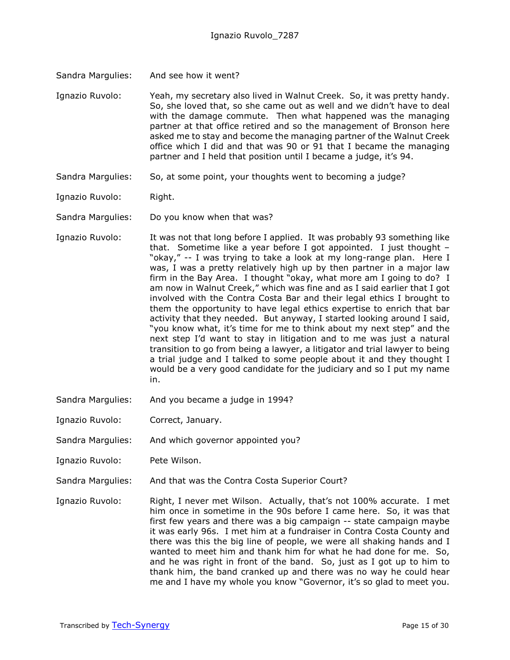Sandra Margulies: And see how it went?

Ignazio Ruvolo: Yeah, my secretary also lived in Walnut Creek. So, it was pretty handy. So, she loved that, so she came out as well and we didn't have to deal with the damage commute. Then what happened was the managing partner at that office retired and so the management of Bronson here asked me to stay and become the managing partner of the Walnut Creek office which I did and that was 90 or 91 that I became the managing partner and I held that position until I became a judge, it's 94.

- Sandra Margulies: So, at some point, your thoughts went to becoming a judge?
- Ignazio Ruvolo: Right.
- Sandra Margulies: Do you know when that was?
- Ignazio Ruvolo: It was not that long before I applied. It was probably 93 something like that. Sometime like a year before I got appointed. I just thought – "okay," -- I was trying to take a look at my long-range plan. Here I was, I was a pretty relatively high up by then partner in a major law firm in the Bay Area. I thought "okay, what more am I going to do? I am now in Walnut Creek," which was fine and as I said earlier that I got involved with the Contra Costa Bar and their legal ethics I brought to them the opportunity to have legal ethics expertise to enrich that bar activity that they needed. But anyway, I started looking around I said, "you know what, it's time for me to think about my next step" and the next step I'd want to stay in litigation and to me was just a natural transition to go from being a lawyer, a litigator and trial lawyer to being a trial judge and I talked to some people about it and they thought I would be a very good candidate for the judiciary and so I put my name in.
- Sandra Margulies: And you became a judge in 1994?
- Ignazio Ruvolo: Correct, January.
- Sandra Margulies: And which governor appointed you?
- Ignazio Ruvolo: Pete Wilson.
- Sandra Margulies: And that was the Contra Costa Superior Court?
- Ignazio Ruvolo: Right, I never met Wilson. Actually, that's not 100% accurate. I met him once in sometime in the 90s before I came here. So, it was that first few years and there was a big campaign -- state campaign maybe it was early 96s. I met him at a fundraiser in Contra Costa County and there was this the big line of people, we were all shaking hands and I wanted to meet him and thank him for what he had done for me. So, and he was right in front of the band. So, just as I got up to him to thank him, the band cranked up and there was no way he could hear me and I have my whole you know "Governor, it's so glad to meet you.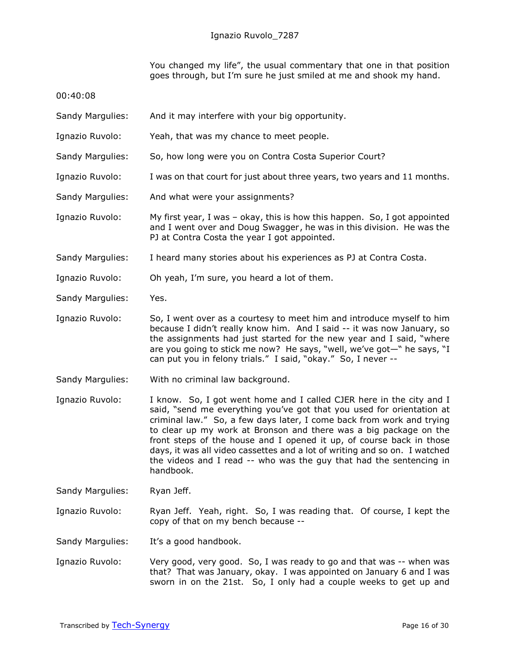You changed my life", the usual commentary that one in that position goes through, but I'm sure he just smiled at me and shook my hand.

00:40:08

- Sandy Margulies: And it may interfere with your big opportunity.
- Ignazio Ruvolo: Yeah, that was my chance to meet people.
- Sandy Margulies: So, how long were you on Contra Costa Superior Court?
- Ignazio Ruvolo: I was on that court for just about three years, two years and 11 months.
- Sandy Margulies: And what were your assignments?
- Ignazio Ruvolo: My first year, I was okay, this is how this happen. So, I got appointed and I went over and Doug Swagger, he was in this division. He was the PJ at Contra Costa the year I got appointed.
- Sandy Margulies: I heard many stories about his experiences as PJ at Contra Costa.
- Ignazio Ruvolo: Oh yeah, I'm sure, you heard a lot of them.
- Sandy Margulies: Yes.
- Ignazio Ruvolo: So, I went over as a courtesy to meet him and introduce myself to him because I didn't really know him. And I said -- it was now January, so the assignments had just started for the new year and I said, "where are you going to stick me now? He says, "well, we've got—" he says, "I can put you in felony trials." I said, "okay." So, I never --
- Sandy Margulies: With no criminal law background.
- Ignazio Ruvolo: I know. So, I got went home and I called CJER here in the city and I said, "send me everything you've got that you used for orientation at criminal law." So, a few days later, I come back from work and trying to clear up my work at Bronson and there was a big package on the front steps of the house and I opened it up, of course back in those days, it was all video cassettes and a lot of writing and so on. I watched the videos and I read -- who was the guy that had the sentencing in handbook.

Sandy Margulies: Ryan Jeff.

Ignazio Ruvolo: Ryan Jeff. Yeah, right. So, I was reading that. Of course, I kept the copy of that on my bench because --

Sandy Margulies: It's a good handbook.

Ignazio Ruvolo: Very good, very good. So, I was ready to go and that was -- when was that? That was January, okay. I was appointed on January 6 and I was sworn in on the 21st. So, I only had a couple weeks to get up and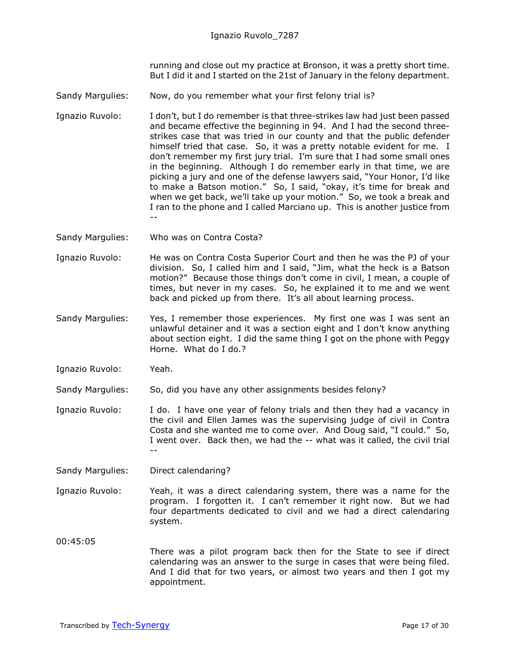running and close out my practice at Bronson, it was a pretty short time. But I did it and I started on the 21st of January in the felony department.

- Sandy Margulies: Now, do you remember what your first felony trial is?
- Ignazio Ruvolo: I don't, but I do remember is that three-strikes law had just been passed and became effective the beginning in 94. And I had the second threestrikes case that was tried in our county and that the public defender himself tried that case. So, it was a pretty notable evident for me. I don't remember my first jury trial. I'm sure that I had some small ones in the beginning. Although I do remember early in that time, we are picking a jury and one of the defense lawyers said, "Your Honor, I'd like to make a Batson motion." So, I said, "okay, it's time for break and when we get back, we'll take up your motion." So, we took a break and I ran to the phone and I called Marciano up. This is another justice from --
- Sandy Margulies: Who was on Contra Costa?
- Ignazio Ruvolo: He was on Contra Costa Superior Court and then he was the PJ of your division. So, I called him and I said, "Jim, what the heck is a Batson motion?" Because those things don't come in civil, I mean, a couple of times, but never in my cases. So, he explained it to me and we went back and picked up from there. It's all about learning process.
- Sandy Margulies: Yes, I remember those experiences. My first one was I was sent an unlawful detainer and it was a section eight and I don't know anything about section eight. I did the same thing I got on the phone with Peggy Horne. What do I do.?
- Ignazio Ruvolo: Yeah.

Sandy Margulies: So, did you have any other assignments besides felony?

- Ignazio Ruvolo: I do. I have one year of felony trials and then they had a vacancy in the civil and Ellen James was the supervising judge of civil in Contra Costa and she wanted me to come over. And Doug said, "I could." So, I went over. Back then, we had the -- what was it called, the civil trial --
- Sandy Margulies: Direct calendaring?

Ignazio Ruvolo: Yeah, it was a direct calendaring system, there was a name for the program. I forgotten it. I can't remember it right now. But we had four departments dedicated to civil and we had a direct calendaring system.

00:45:05

There was a pilot program back then for the State to see if direct calendaring was an answer to the surge in cases that were being filed. And I did that for two years, or almost two years and then I got my appointment.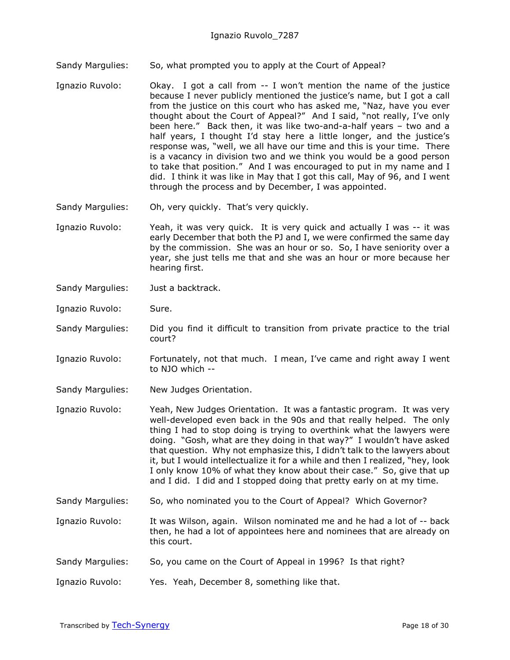- Sandy Margulies: So, what prompted you to apply at the Court of Appeal?
- Ignazio Ruvolo: Okay. I got a call from -- I won't mention the name of the justice because I never publicly mentioned the justice's name, but I got a call from the justice on this court who has asked me, "Naz, have you ever thought about the Court of Appeal?" And I said, "not really, I've only been here." Back then, it was like two-and-a-half years – two and a half years, I thought I'd stay here a little longer, and the justice's response was, "well, we all have our time and this is your time. There is a vacancy in division two and we think you would be a good person to take that position." And I was encouraged to put in my name and I did. I think it was like in May that I got this call, May of 96, and I went through the process and by December, I was appointed.
- Sandy Margulies: Oh, very quickly. That's very quickly.
- Ignazio Ruvolo: Yeah, it was very quick. It is very quick and actually I was -- it was early December that both the PJ and I, we were confirmed the same day by the commission. She was an hour or so. So, I have seniority over a year, she just tells me that and she was an hour or more because her hearing first.
- Sandy Margulies: Just a backtrack.
- Ignazio Ruvolo: Sure.
- Sandy Margulies: Did you find it difficult to transition from private practice to the trial court?
- Ignazio Ruvolo: Fortunately, not that much. I mean, I've came and right away I went to NJO which --
- Sandy Margulies: New Judges Orientation.
- Ignazio Ruvolo: Yeah, New Judges Orientation. It was a fantastic program. It was very well-developed even back in the 90s and that really helped. The only thing I had to stop doing is trying to overthink what the lawyers were doing. "Gosh, what are they doing in that way?" I wouldn't have asked that question. Why not emphasize this, I didn't talk to the lawyers about it, but I would intellectualize it for a while and then I realized, "hey, look I only know 10% of what they know about their case." So, give that up and I did. I did and I stopped doing that pretty early on at my time.
- Sandy Margulies: So, who nominated you to the Court of Appeal? Which Governor?
- Ignazio Ruvolo: It was Wilson, again. Wilson nominated me and he had a lot of -- back then, he had a lot of appointees here and nominees that are already on this court.
- Sandy Margulies: So, you came on the Court of Appeal in 1996? Is that right?
- Ignazio Ruvolo: Yes. Yeah, December 8, something like that.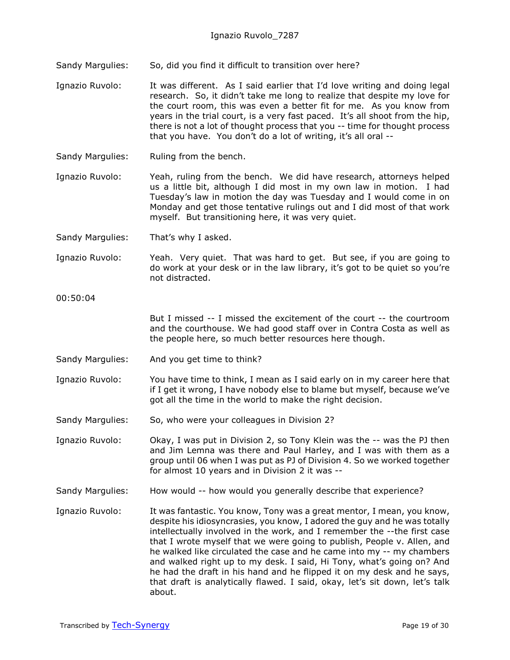- Sandy Margulies: So, did you find it difficult to transition over here?
- Ignazio Ruvolo: It was different. As I said earlier that I'd love writing and doing legal research. So, it didn't take me long to realize that despite my love for the court room, this was even a better fit for me. As you know from years in the trial court, is a very fast paced. It's all shoot from the hip, there is not a lot of thought process that you -- time for thought process that you have. You don't do a lot of writing, it's all oral --
- Sandy Margulies: Ruling from the bench.
- Ignazio Ruvolo: Yeah, ruling from the bench. We did have research, attorneys helped us a little bit, although I did most in my own law in motion. I had Tuesday's law in motion the day was Tuesday and I would come in on Monday and get those tentative rulings out and I did most of that work myself. But transitioning here, it was very quiet.
- Sandy Margulies: That's why I asked.
- Ignazio Ruvolo: Yeah. Very quiet. That was hard to get. But see, if you are going to do work at your desk or in the law library, it's got to be quiet so you're not distracted.
- 00:50:04

But I missed -- I missed the excitement of the court -- the courtroom and the courthouse. We had good staff over in Contra Costa as well as the people here, so much better resources here though.

- Sandy Margulies: And you get time to think?
- Ignazio Ruvolo: You have time to think, I mean as I said early on in my career here that if I get it wrong, I have nobody else to blame but myself, because we've got all the time in the world to make the right decision.
- Sandy Margulies: So, who were your colleagues in Division 2?

Ignazio Ruvolo: Okay, I was put in Division 2, so Tony Klein was the -- was the PJ then and Jim Lemna was there and Paul Harley, and I was with them as a group until 06 when I was put as PJ of Division 4. So we worked together for almost 10 years and in Division 2 it was --

- Sandy Margulies: How would -- how would you generally describe that experience?
- Ignazio Ruvolo: It was fantastic. You know, Tony was a great mentor, I mean, you know, despite his idiosyncrasies, you know, I adored the guy and he was totally intellectually involved in the work, and I remember the --the first case that I wrote myself that we were going to publish, People v. Allen, and he walked like circulated the case and he came into my -- my chambers and walked right up to my desk. I said, Hi Tony, what's going on? And he had the draft in his hand and he flipped it on my desk and he says, that draft is analytically flawed. I said, okay, let's sit down, let's talk about.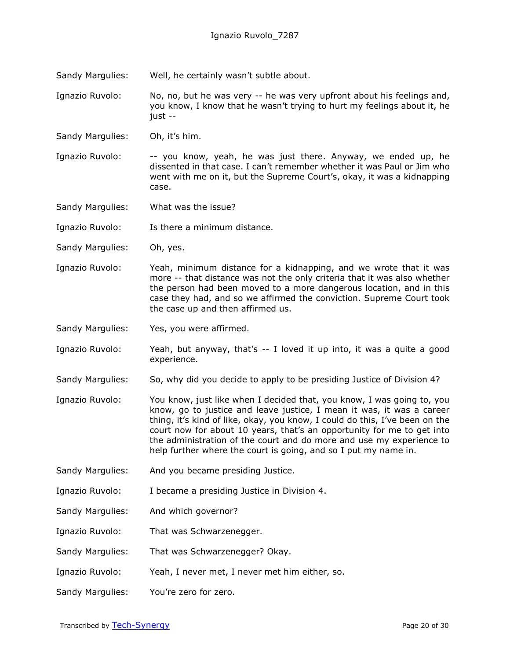Sandy Margulies: Well, he certainly wasn't subtle about.

Ignazio Ruvolo: No, no, but he was very -- he was very upfront about his feelings and, you know, I know that he wasn't trying to hurt my feelings about it, he just --

Sandy Margulies: Oh, it's him.

Ignazio Ruvolo: -- you know, yeah, he was just there. Anyway, we ended up, he dissented in that case. I can't remember whether it was Paul or Jim who went with me on it, but the Supreme Court's, okay, it was a kidnapping case.

Sandy Margulies: What was the issue?

Ignazio Ruvolo: Is there a minimum distance.

Sandy Margulies: Oh, yes.

- Ignazio Ruvolo: Yeah, minimum distance for a kidnapping, and we wrote that it was more -- that distance was not the only criteria that it was also whether the person had been moved to a more dangerous location, and in this case they had, and so we affirmed the conviction. Supreme Court took the case up and then affirmed us.
- Sandy Margulies: Yes, you were affirmed.

Ignazio Ruvolo: Yeah, but anyway, that's -- I loved it up into, it was a quite a good experience.

- Sandy Margulies: So, why did you decide to apply to be presiding Justice of Division 4?
- Ignazio Ruvolo: You know, just like when I decided that, you know, I was going to, you know, go to justice and leave justice, I mean it was, it was a career thing, it's kind of like, okay, you know, I could do this, I've been on the court now for about 10 years, that's an opportunity for me to get into the administration of the court and do more and use my experience to help further where the court is going, and so I put my name in.
- Sandy Margulies: And you became presiding Justice.

Ignazio Ruvolo: I became a presiding Justice in Division 4.

- Sandy Margulies: And which governor?
- Ignazio Ruvolo: That was Schwarzenegger.
- Sandy Margulies: That was Schwarzenegger? Okay.
- Ignazio Ruvolo: Yeah, I never met, I never met him either, so.

Sandy Margulies: You're zero for zero.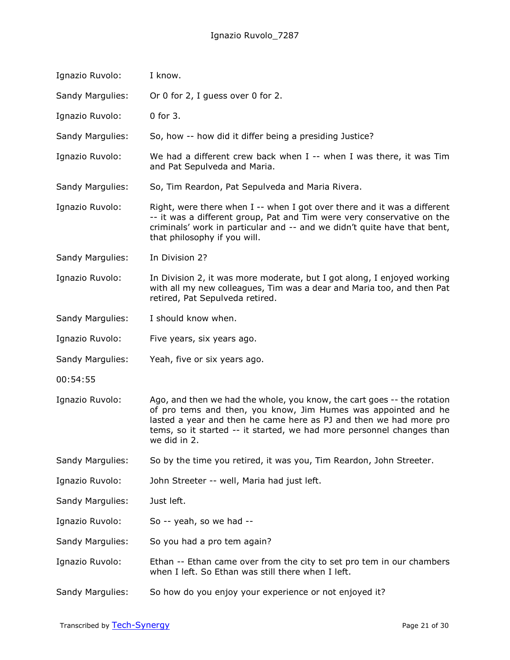| Ignazio Ruvolo:  | I know.                                                                                                                                                                                                                                                                                                  |
|------------------|----------------------------------------------------------------------------------------------------------------------------------------------------------------------------------------------------------------------------------------------------------------------------------------------------------|
| Sandy Margulies: | Or 0 for 2, I guess over 0 for 2.                                                                                                                                                                                                                                                                        |
| Ignazio Ruvolo:  | 0 for 3.                                                                                                                                                                                                                                                                                                 |
| Sandy Margulies: | So, how -- how did it differ being a presiding Justice?                                                                                                                                                                                                                                                  |
| Ignazio Ruvolo:  | We had a different crew back when I -- when I was there, it was Tim<br>and Pat Sepulveda and Maria.                                                                                                                                                                                                      |
| Sandy Margulies: | So, Tim Reardon, Pat Sepulveda and Maria Rivera.                                                                                                                                                                                                                                                         |
| Ignazio Ruvolo:  | Right, were there when I -- when I got over there and it was a different<br>-- it was a different group, Pat and Tim were very conservative on the<br>criminals' work in particular and -- and we didn't quite have that bent,<br>that philosophy if you will.                                           |
| Sandy Margulies: | In Division 2?                                                                                                                                                                                                                                                                                           |
| Ignazio Ruvolo:  | In Division 2, it was more moderate, but I got along, I enjoyed working<br>with all my new colleagues, Tim was a dear and Maria too, and then Pat<br>retired, Pat Sepulveda retired.                                                                                                                     |
| Sandy Margulies: | I should know when.                                                                                                                                                                                                                                                                                      |
| Ignazio Ruvolo:  | Five years, six years ago.                                                                                                                                                                                                                                                                               |
| Sandy Margulies: | Yeah, five or six years ago.                                                                                                                                                                                                                                                                             |
| 00:54:55         |                                                                                                                                                                                                                                                                                                          |
| Ignazio Ruvolo:  | Ago, and then we had the whole, you know, the cart goes -- the rotation<br>of pro tems and then, you know, Jim Humes was appointed and he<br>lasted a year and then he came here as PJ and then we had more pro<br>tems, so it started -- it started, we had more personnel changes than<br>we did in 2. |
| Sandy Margulies: | So by the time you retired, it was you, Tim Reardon, John Streeter.                                                                                                                                                                                                                                      |
| Ignazio Ruvolo:  | John Streeter -- well, Maria had just left.                                                                                                                                                                                                                                                              |
| Sandy Margulies: | Just left.                                                                                                                                                                                                                                                                                               |
| Ignazio Ruvolo:  | So -- yeah, so we had --                                                                                                                                                                                                                                                                                 |
| Sandy Margulies: | So you had a pro tem again?                                                                                                                                                                                                                                                                              |
| Ignazio Ruvolo:  | Ethan -- Ethan came over from the city to set pro tem in our chambers<br>when I left. So Ethan was still there when I left.                                                                                                                                                                              |
| Sandy Margulies: | So how do you enjoy your experience or not enjoyed it?                                                                                                                                                                                                                                                   |
|                  |                                                                                                                                                                                                                                                                                                          |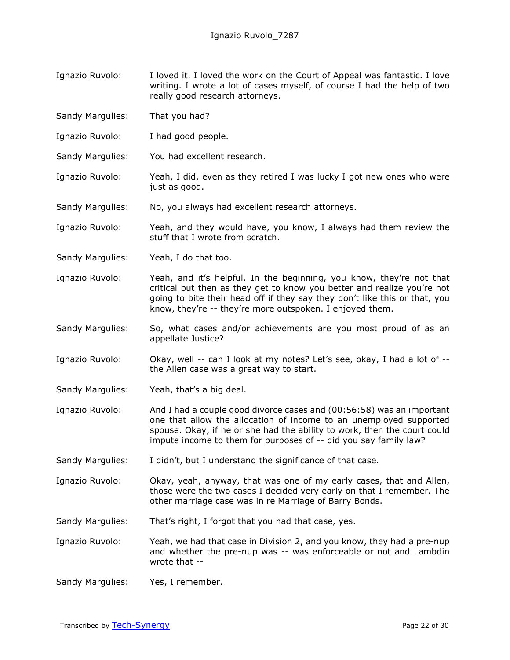- Ignazio Ruvolo: I loved it. I loved the work on the Court of Appeal was fantastic. I love writing. I wrote a lot of cases myself, of course I had the help of two really good research attorneys.
- Sandy Margulies: That you had?
- Ignazio Ruvolo: I had good people.
- Sandy Margulies: You had excellent research.
- Ignazio Ruvolo: Yeah, I did, even as they retired I was lucky I got new ones who were just as good.
- Sandy Margulies: No, you always had excellent research attorneys.
- Ignazio Ruvolo: Yeah, and they would have, you know, I always had them review the stuff that I wrote from scratch.
- Sandy Margulies: Yeah, I do that too.
- Ignazio Ruvolo: Yeah, and it's helpful. In the beginning, you know, they're not that critical but then as they get to know you better and realize you're not going to bite their head off if they say they don't like this or that, you know, they're -- they're more outspoken. I enjoyed them.
- Sandy Margulies: So, what cases and/or achievements are you most proud of as an appellate Justice?
- Ignazio Ruvolo: Okay, well -- can I look at my notes? Let's see, okay, I had a lot of the Allen case was a great way to start.
- Sandy Margulies: Yeah, that's a big deal.
- Ignazio Ruvolo: And I had a couple good divorce cases and (00:56:58) was an important one that allow the allocation of income to an unemployed supported spouse. Okay, if he or she had the ability to work, then the court could impute income to them for purposes of -- did you say family law?
- Sandy Margulies: I didn't, but I understand the significance of that case.
- Ignazio Ruvolo: Okay, yeah, anyway, that was one of my early cases, that and Allen, those were the two cases I decided very early on that I remember. The other marriage case was in re Marriage of Barry Bonds.
- Sandy Margulies: That's right, I forgot that you had that case, yes.
- Ignazio Ruvolo: Yeah, we had that case in Division 2, and you know, they had a pre-nup and whether the pre-nup was -- was enforceable or not and Lambdin wrote that --
- Sandy Margulies: Yes, I remember.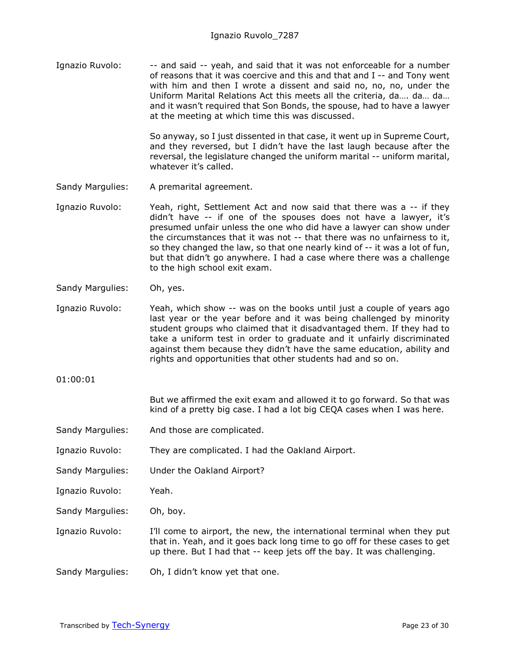Ignazio Ruvolo: --- and said -- yeah, and said that it was not enforceable for a number of reasons that it was coercive and this and that and I -- and Tony went with him and then I wrote a dissent and said no, no, no, under the Uniform Marital Relations Act this meets all the criteria, da…. da… da… and it wasn't required that Son Bonds, the spouse, had to have a lawyer at the meeting at which time this was discussed.

> So anyway, so I just dissented in that case, it went up in Supreme Court, and they reversed, but I didn't have the last laugh because after the reversal, the legislature changed the uniform marital -- uniform marital, whatever it's called.

- Sandy Margulies: A premarital agreement.
- Ignazio Ruvolo: Yeah, right, Settlement Act and now said that there was a -- if they didn't have -- if one of the spouses does not have a lawyer, it's presumed unfair unless the one who did have a lawyer can show under the circumstances that it was not -- that there was no unfairness to it, so they changed the law, so that one nearly kind of -- it was a lot of fun, but that didn't go anywhere. I had a case where there was a challenge to the high school exit exam.

Sandy Margulies: Oh, yes.

- Ignazio Ruvolo: Yeah, which show -- was on the books until just a couple of years ago last year or the year before and it was being challenged by minority student groups who claimed that it disadvantaged them. If they had to take a uniform test in order to graduate and it unfairly discriminated against them because they didn't have the same education, ability and rights and opportunities that other students had and so on.
- 01:00:01

But we affirmed the exit exam and allowed it to go forward. So that was kind of a pretty big case. I had a lot big CEQA cases when I was here.

- Sandy Margulies: And those are complicated.
- Ignazio Ruvolo: They are complicated. I had the Oakland Airport.
- Sandy Margulies: Under the Oakland Airport?
- Ignazio Ruvolo: Yeah.
- Sandy Margulies: Oh, boy.

Ignazio Ruvolo: I'll come to airport, the new, the international terminal when they put that in. Yeah, and it goes back long time to go off for these cases to get up there. But I had that -- keep jets off the bay. It was challenging.

Sandy Margulies: Oh, I didn't know yet that one.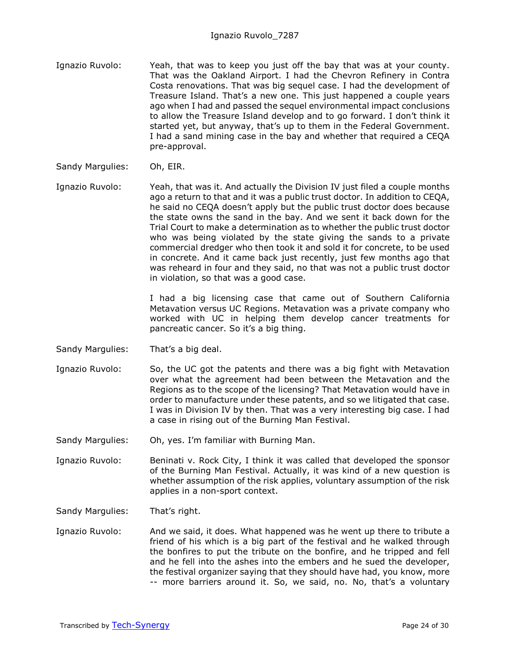- Ignazio Ruvolo: Yeah, that was to keep you just off the bay that was at your county. That was the Oakland Airport. I had the Chevron Refinery in Contra Costa renovations. That was big sequel case. I had the development of Treasure Island. That's a new one. This just happened a couple years ago when I had and passed the sequel environmental impact conclusions to allow the Treasure Island develop and to go forward. I don't think it started yet, but anyway, that's up to them in the Federal Government. I had a sand mining case in the bay and whether that required a CEQA pre-approval.
- Sandy Margulies: Oh, EIR.

Ignazio Ruvolo: Yeah, that was it. And actually the Division IV just filed a couple months ago a return to that and it was a public trust doctor. In addition to CEQA, he said no CEQA doesn't apply but the public trust doctor does because the state owns the sand in the bay. And we sent it back down for the Trial Court to make a determination as to whether the public trust doctor who was being violated by the state giving the sands to a private commercial dredger who then took it and sold it for concrete, to be used in concrete. And it came back just recently, just few months ago that was reheard in four and they said, no that was not a public trust doctor in violation, so that was a good case.

> I had a big licensing case that came out of Southern California Metavation versus UC Regions. Metavation was a private company who worked with UC in helping them develop cancer treatments for pancreatic cancer. So it's a big thing.

- Sandy Margulies: That's a big deal.
- Ignazio Ruvolo: So, the UC got the patents and there was a big fight with Metavation over what the agreement had been between the Metavation and the Regions as to the scope of the licensing? That Metavation would have in order to manufacture under these patents, and so we litigated that case. I was in Division IV by then. That was a very interesting big case. I had a case in rising out of the Burning Man Festival.
- Sandy Margulies: Oh, yes. I'm familiar with Burning Man.
- Ignazio Ruvolo: Beninati v. Rock City, I think it was called that developed the sponsor of the Burning Man Festival. Actually, it was kind of a new question is whether assumption of the risk applies, voluntary assumption of the risk applies in a non-sport context.

Sandy Margulies: That's right.

Ignazio Ruvolo: And we said, it does. What happened was he went up there to tribute a friend of his which is a big part of the festival and he walked through the bonfires to put the tribute on the bonfire, and he tripped and fell and he fell into the ashes into the embers and he sued the developer, the festival organizer saying that they should have had, you know, more -- more barriers around it. So, we said, no. No, that's a voluntary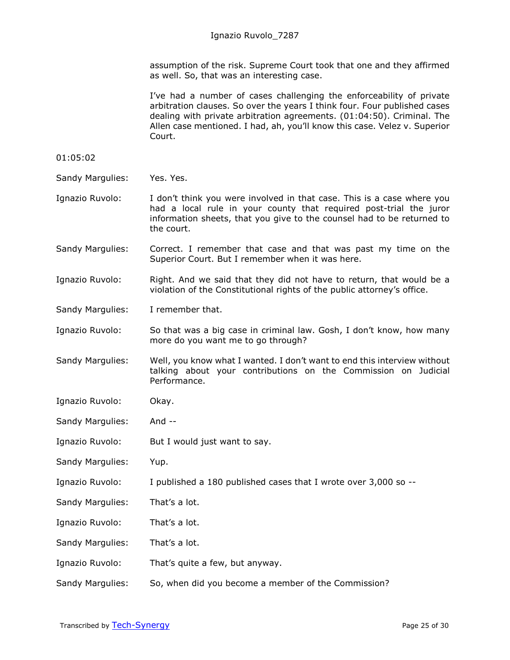assumption of the risk. Supreme Court took that one and they affirmed as well. So, that was an interesting case.

I've had a number of cases challenging the enforceability of private arbitration clauses. So over the years I think four. Four published cases dealing with private arbitration agreements. (01:04:50). Criminal. The Allen case mentioned. I had, ah, you'll know this case. Velez v. Superior Court.

01:05:02

- Sandy Margulies: Yes. Yes.
- Ignazio Ruvolo: I don't think you were involved in that case. This is a case where you had a local rule in your county that required post-trial the juror information sheets, that you give to the counsel had to be returned to the court.
- Sandy Margulies: Correct. I remember that case and that was past my time on the Superior Court. But I remember when it was here.

Ignazio Ruvolo: Right. And we said that they did not have to return, that would be a violation of the Constitutional rights of the public attorney's office.

Sandy Margulies: I remember that.

- Ignazio Ruvolo: So that was a big case in criminal law. Gosh, I don't know, how many more do you want me to go through?
- Sandy Margulies: Well, you know what I wanted. I don't want to end this interview without talking about your contributions on the Commission on Judicial Performance.
- Ignazio Ruvolo: Okay.
- Sandy Margulies: And --
- Ignazio Ruvolo: But I would just want to say.
- Sandy Margulies: Yup.
- Ignazio Ruvolo: I published a 180 published cases that I wrote over 3,000 so --
- Sandy Margulies: That's a lot.
- Ignazio Ruvolo: That's a lot.
- Sandy Margulies: That's a lot.
- Ignazio Ruvolo: That's quite a few, but anyway.
- Sandy Margulies: So, when did you become a member of the Commission?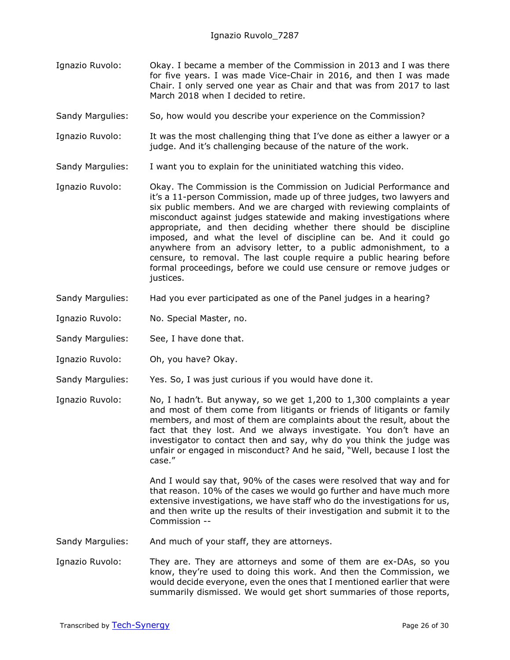- Ignazio Ruvolo: Okay. I became a member of the Commission in 2013 and I was there for five years. I was made Vice-Chair in 2016, and then I was made Chair. I only served one year as Chair and that was from 2017 to last March 2018 when I decided to retire.
- Sandy Margulies: So, how would you describe your experience on the Commission?
- Ignazio Ruvolo: It was the most challenging thing that I've done as either a lawyer or a judge. And it's challenging because of the nature of the work.
- Sandy Margulies: I want you to explain for the uninitiated watching this video.
- Ignazio Ruvolo: Okay. The Commission is the Commission on Judicial Performance and it's a 11-person Commission, made up of three judges, two lawyers and six public members. And we are charged with reviewing complaints of misconduct against judges statewide and making investigations where appropriate, and then deciding whether there should be discipline imposed, and what the level of discipline can be. And it could go anywhere from an advisory letter, to a public admonishment, to a censure, to removal. The last couple require a public hearing before formal proceedings, before we could use censure or remove judges or justices.
- Sandy Margulies: Had you ever participated as one of the Panel judges in a hearing?
- Ignazio Ruvolo: No. Special Master, no.
- Sandy Margulies: See, I have done that.
- Ignazio Ruvolo: Oh, you have? Okay.
- Sandy Margulies: Yes. So, I was just curious if you would have done it.
- Ignazio Ruvolo: No, I hadn't. But anyway, so we get 1,200 to 1,300 complaints a year and most of them come from litigants or friends of litigants or family members, and most of them are complaints about the result, about the fact that they lost. And we always investigate. You don't have an investigator to contact then and say, why do you think the judge was unfair or engaged in misconduct? And he said, "Well, because I lost the case."

And I would say that, 90% of the cases were resolved that way and for that reason. 10% of the cases we would go further and have much more extensive investigations, we have staff who do the investigations for us, and then write up the results of their investigation and submit it to the Commission --

- Sandy Margulies: And much of your staff, they are attorneys.
- Ignazio Ruvolo: They are. They are attorneys and some of them are ex-DAs, so you know, they're used to doing this work. And then the Commission, we would decide everyone, even the ones that I mentioned earlier that were summarily dismissed. We would get short summaries of those reports,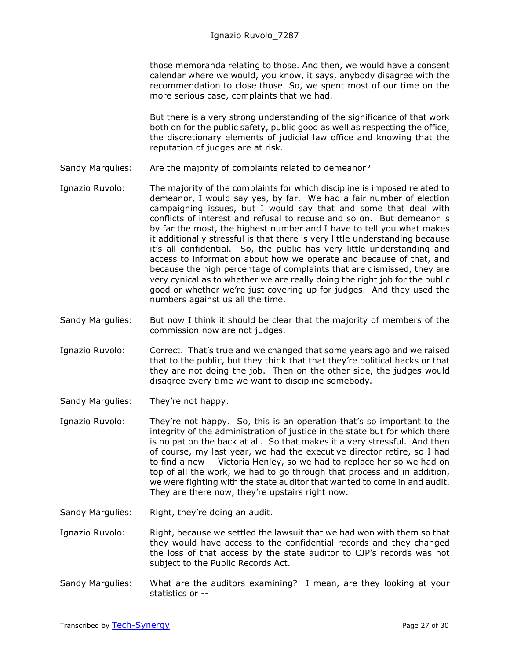those memoranda relating to those. And then, we would have a consent calendar where we would, you know, it says, anybody disagree with the recommendation to close those. So, we spent most of our time on the more serious case, complaints that we had.

But there is a very strong understanding of the significance of that work both on for the public safety, public good as well as respecting the office, the discretionary elements of judicial law office and knowing that the reputation of judges are at risk.

- Sandy Margulies: Are the majority of complaints related to demeanor?
- Ignazio Ruvolo: The majority of the complaints for which discipline is imposed related to demeanor, I would say yes, by far. We had a fair number of election campaigning issues, but I would say that and some that deal with conflicts of interest and refusal to recuse and so on. But demeanor is by far the most, the highest number and I have to tell you what makes it additionally stressful is that there is very little understanding because it's all confidential. So, the public has very little understanding and access to information about how we operate and because of that, and because the high percentage of complaints that are dismissed, they are very cynical as to whether we are really doing the right job for the public good or whether we're just covering up for judges. And they used the numbers against us all the time.
- Sandy Margulies: But now I think it should be clear that the majority of members of the commission now are not judges.
- Ignazio Ruvolo: Correct. That's true and we changed that some years ago and we raised that to the public, but they think that that they're political hacks or that they are not doing the job. Then on the other side, the judges would disagree every time we want to discipline somebody.
- Sandy Margulies: They're not happy.
- Ignazio Ruvolo: They're not happy. So, this is an operation that's so important to the integrity of the administration of justice in the state but for which there is no pat on the back at all. So that makes it a very stressful. And then of course, my last year, we had the executive director retire, so I had to find a new -- Victoria Henley, so we had to replace her so we had on top of all the work, we had to go through that process and in addition, we were fighting with the state auditor that wanted to come in and audit. They are there now, they're upstairs right now.
- Sandy Margulies: Right, they're doing an audit.
- Ignazio Ruvolo: Right, because we settled the lawsuit that we had won with them so that they would have access to the confidential records and they changed the loss of that access by the state auditor to CJP's records was not subject to the Public Records Act.
- Sandy Margulies: What are the auditors examining? I mean, are they looking at your statistics or --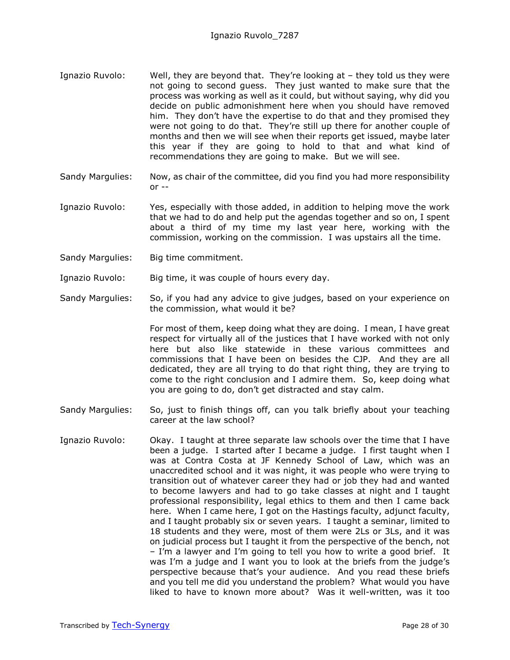- Ignazio Ruvolo: Well, they are beyond that. They're looking at they told us they were not going to second guess. They just wanted to make sure that the process was working as well as it could, but without saying, why did you decide on public admonishment here when you should have removed him. They don't have the expertise to do that and they promised they were not going to do that. They're still up there for another couple of months and then we will see when their reports get issued, maybe later this year if they are going to hold to that and what kind of recommendations they are going to make. But we will see.
- Sandy Margulies: Now, as chair of the committee, did you find you had more responsibility  $or -1$
- Ignazio Ruvolo: Yes, especially with those added, in addition to helping move the work that we had to do and help put the agendas together and so on, I spent about a third of my time my last year here, working with the commission, working on the commission. I was upstairs all the time.
- Sandy Margulies: Big time commitment.
- Ignazio Ruvolo: Big time, it was couple of hours every day.
- Sandy Margulies: So, if you had any advice to give judges, based on your experience on the commission, what would it be?

For most of them, keep doing what they are doing. I mean, I have great respect for virtually all of the justices that I have worked with not only here but also like statewide in these various committees and commissions that I have been on besides the CJP. And they are all dedicated, they are all trying to do that right thing, they are trying to come to the right conclusion and I admire them. So, keep doing what you are going to do, don't get distracted and stay calm.

- Sandy Margulies: So, just to finish things off, can you talk briefly about your teaching career at the law school?
- Ignazio Ruvolo: Okay. I taught at three separate law schools over the time that I have been a judge. I started after I became a judge. I first taught when I was at Contra Costa at JF Kennedy School of Law, which was an unaccredited school and it was night, it was people who were trying to transition out of whatever career they had or job they had and wanted to become lawyers and had to go take classes at night and I taught professional responsibility, legal ethics to them and then I came back here. When I came here, I got on the Hastings faculty, adjunct faculty, and I taught probably six or seven years. I taught a seminar, limited to 18 students and they were, most of them were 2Ls or 3Ls, and it was on judicial process but I taught it from the perspective of the bench, not – I'm a lawyer and I'm going to tell you how to write a good brief. It was I'm a judge and I want you to look at the briefs from the judge's perspective because that's your audience. And you read these briefs and you tell me did you understand the problem? What would you have liked to have to known more about? Was it well-written, was it too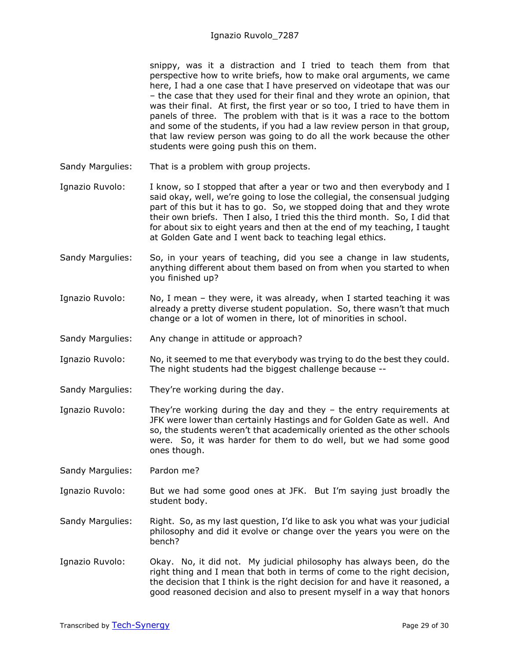snippy, was it a distraction and I tried to teach them from that perspective how to write briefs, how to make oral arguments, we came here, I had a one case that I have preserved on videotape that was our – the case that they used for their final and they wrote an opinion, that was their final. At first, the first year or so too, I tried to have them in panels of three. The problem with that is it was a race to the bottom and some of the students, if you had a law review person in that group, that law review person was going to do all the work because the other students were going push this on them.

- Sandy Margulies: That is a problem with group projects.
- Ignazio Ruvolo: I know, so I stopped that after a year or two and then everybody and I said okay, well, we're going to lose the collegial, the consensual judging part of this but it has to go. So, we stopped doing that and they wrote their own briefs. Then I also, I tried this the third month. So, I did that for about six to eight years and then at the end of my teaching, I taught at Golden Gate and I went back to teaching legal ethics.
- Sandy Margulies: So, in your years of teaching, did you see a change in law students, anything different about them based on from when you started to when you finished up?
- Ignazio Ruvolo: No, I mean they were, it was already, when I started teaching it was already a pretty diverse student population. So, there wasn't that much change or a lot of women in there, lot of minorities in school.
- Sandy Margulies: Any change in attitude or approach?
- Ignazio Ruvolo: No, it seemed to me that everybody was trying to do the best they could. The night students had the biggest challenge because --
- Sandy Margulies: They're working during the day.
- Ignazio Ruvolo: They're working during the day and they the entry requirements at JFK were lower than certainly Hastings and for Golden Gate as well. And so, the students weren't that academically oriented as the other schools were. So, it was harder for them to do well, but we had some good ones though.

Sandy Margulies: Pardon me?

- Ignazio Ruvolo: But we had some good ones at JFK. But I'm saying just broadly the student body.
- Sandy Margulies: Right. So, as my last question, I'd like to ask you what was your judicial philosophy and did it evolve or change over the years you were on the bench?
- Ignazio Ruvolo: Okay. No, it did not. My judicial philosophy has always been, do the right thing and I mean that both in terms of come to the right decision, the decision that I think is the right decision for and have it reasoned, a good reasoned decision and also to present myself in a way that honors